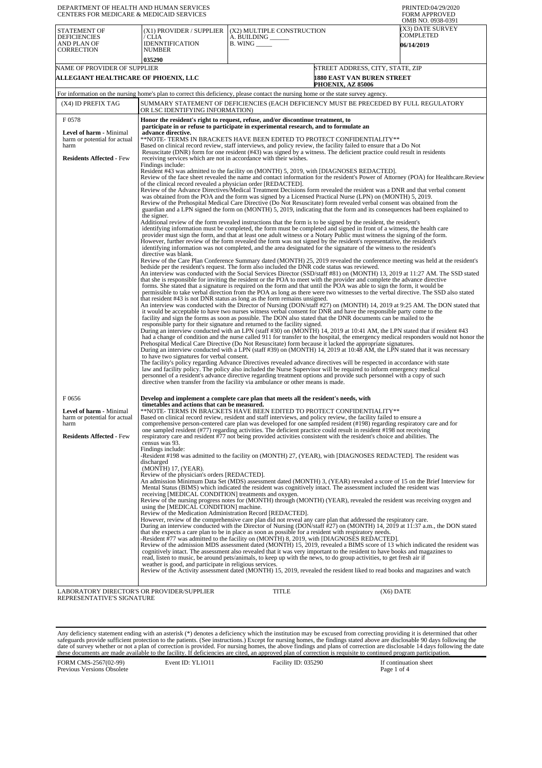| DEPARTMENT OF HEALTH AND HUMAN SERVICES<br>CENTERS FOR MEDICARE & MEDICAID SERVICES                         |                                                                                                                                                                                                                                                                                                                                                                                                                                                                                                                                                                                                                                                                                                                                                                                                                                                                                                                                                                                                                                                                                                                                                                                                                                                                                                                                                                                                                                                                                                                                                                                                                                                                                                                                                                                                                                                                                                                                                                                                                                                                                                                                                                                                                                                                                                                                                                                                                                                                                |                                                                          |                                                                                     | PRINTED:04/29/2020<br><b>FORM APPROVED</b><br>OMB NO. 0938-0391                                                                       |
|-------------------------------------------------------------------------------------------------------------|--------------------------------------------------------------------------------------------------------------------------------------------------------------------------------------------------------------------------------------------------------------------------------------------------------------------------------------------------------------------------------------------------------------------------------------------------------------------------------------------------------------------------------------------------------------------------------------------------------------------------------------------------------------------------------------------------------------------------------------------------------------------------------------------------------------------------------------------------------------------------------------------------------------------------------------------------------------------------------------------------------------------------------------------------------------------------------------------------------------------------------------------------------------------------------------------------------------------------------------------------------------------------------------------------------------------------------------------------------------------------------------------------------------------------------------------------------------------------------------------------------------------------------------------------------------------------------------------------------------------------------------------------------------------------------------------------------------------------------------------------------------------------------------------------------------------------------------------------------------------------------------------------------------------------------------------------------------------------------------------------------------------------------------------------------------------------------------------------------------------------------------------------------------------------------------------------------------------------------------------------------------------------------------------------------------------------------------------------------------------------------------------------------------------------------------------------------------------------------|--------------------------------------------------------------------------|-------------------------------------------------------------------------------------|---------------------------------------------------------------------------------------------------------------------------------------|
| <b>STATEMENT OF</b><br><b>DEFICIENCIES</b><br>AND PLAN OF<br>CORRECTION                                     | (X1) PROVIDER / SUPPLIER<br>/ CLIA<br><b>IDENNTIFICATION</b><br><b>NUMBER</b>                                                                                                                                                                                                                                                                                                                                                                                                                                                                                                                                                                                                                                                                                                                                                                                                                                                                                                                                                                                                                                                                                                                                                                                                                                                                                                                                                                                                                                                                                                                                                                                                                                                                                                                                                                                                                                                                                                                                                                                                                                                                                                                                                                                                                                                                                                                                                                                                  | (X2) MULTIPLE CONSTRUCTION<br>A. BUILDING<br>$B.$ WING $\_\_\_\_\_\_\_\$ |                                                                                     | (X3) DATE SURVEY<br>COMPLETED<br><b>06/14/2019</b>                                                                                    |
|                                                                                                             | 035290                                                                                                                                                                                                                                                                                                                                                                                                                                                                                                                                                                                                                                                                                                                                                                                                                                                                                                                                                                                                                                                                                                                                                                                                                                                                                                                                                                                                                                                                                                                                                                                                                                                                                                                                                                                                                                                                                                                                                                                                                                                                                                                                                                                                                                                                                                                                                                                                                                                                         |                                                                          |                                                                                     |                                                                                                                                       |
| NAME OF PROVIDER OF SUPPLIER<br>ALLEGIANT HEALTHCARE OF PHOENIX, LLC                                        |                                                                                                                                                                                                                                                                                                                                                                                                                                                                                                                                                                                                                                                                                                                                                                                                                                                                                                                                                                                                                                                                                                                                                                                                                                                                                                                                                                                                                                                                                                                                                                                                                                                                                                                                                                                                                                                                                                                                                                                                                                                                                                                                                                                                                                                                                                                                                                                                                                                                                |                                                                          | STREET ADDRESS, CITY, STATE, ZIP<br>1880 EAST VAN BUREN STREET<br>PHOENIX, AZ 85006 |                                                                                                                                       |
|                                                                                                             | For information on the nursing home's plan to correct this deficiency, please contact the nursing home or the state survey agency.                                                                                                                                                                                                                                                                                                                                                                                                                                                                                                                                                                                                                                                                                                                                                                                                                                                                                                                                                                                                                                                                                                                                                                                                                                                                                                                                                                                                                                                                                                                                                                                                                                                                                                                                                                                                                                                                                                                                                                                                                                                                                                                                                                                                                                                                                                                                             |                                                                          |                                                                                     |                                                                                                                                       |
| (X4) ID PREFIX TAG                                                                                          | SUMMARY STATEMENT OF DEFICIENCIES (EACH DEFICIENCY MUST BE PRECEDED BY FULL REGULATORY<br>OR LSC IDENTIFYING INFORMATION)                                                                                                                                                                                                                                                                                                                                                                                                                                                                                                                                                                                                                                                                                                                                                                                                                                                                                                                                                                                                                                                                                                                                                                                                                                                                                                                                                                                                                                                                                                                                                                                                                                                                                                                                                                                                                                                                                                                                                                                                                                                                                                                                                                                                                                                                                                                                                      |                                                                          |                                                                                     |                                                                                                                                       |
| F0578                                                                                                       | Honor the resident's right to request, refuse, and/or discontinue treatment, to                                                                                                                                                                                                                                                                                                                                                                                                                                                                                                                                                                                                                                                                                                                                                                                                                                                                                                                                                                                                                                                                                                                                                                                                                                                                                                                                                                                                                                                                                                                                                                                                                                                                                                                                                                                                                                                                                                                                                                                                                                                                                                                                                                                                                                                                                                                                                                                                |                                                                          |                                                                                     |                                                                                                                                       |
| <b>Level of harm - Minimal</b><br>harm or potential for actual<br>harm<br><b>Residents Affected - Few</b>   | participate in or refuse to participate in experimental research, and to formulate an<br>advance directive.<br>**NOTE- TERMS IN BRACKETS HAVE BEEN EDITED TO PROTECT CONFIDENTIALITY**<br>Based on clinical record review, staff interviews, and policy review, the facility failed to ensure that a Do Not<br>Resuscitate (DNR) form for one resident (#43) was signed by a witness. The deficient practice could result in residents<br>receiving services which are not in accordance with their wishes.<br>Findings include:                                                                                                                                                                                                                                                                                                                                                                                                                                                                                                                                                                                                                                                                                                                                                                                                                                                                                                                                                                                                                                                                                                                                                                                                                                                                                                                                                                                                                                                                                                                                                                                                                                                                                                                                                                                                                                                                                                                                               |                                                                          |                                                                                     |                                                                                                                                       |
|                                                                                                             | Resident #43 was admitted to the facility on (MONTH) 5, 2019, with [DIAGNOSES REDACTED].<br>Review of the face sheet revealed the name and contact information for the resident's Power of Attorney (POA) for Healthcare.Review<br>of the clinical record revealed a physician order [REDACTED].<br>Review of the Advance Directives/Medical Treatment Decisions form revealed the resident was a DNR and that verbal consent<br>was obtained from the POA and the form was signed by a Licensed Practical Nurse (LPN) on (MONTH) 5, 2019.<br>Review of the Prehospital Medical Care Directive (Do Not Resuscitate) form revealed verbal consent was obtained from the<br>guardian and a LPN signed the form on (MONTH) 5, 2019, indicating that the form and its consequences had been explained to<br>the signer.                                                                                                                                                                                                                                                                                                                                                                                                                                                                                                                                                                                                                                                                                                                                                                                                                                                                                                                                                                                                                                                                                                                                                                                                                                                                                                                                                                                                                                                                                                                                                                                                                                                            |                                                                          |                                                                                     |                                                                                                                                       |
|                                                                                                             | Additional review of the form revealed instructions that the form is to be signed by the resident, the resident's<br>identifying information must be completed, the form must be completed and signed in front of a witness, the health care<br>provider must sign the form, and that at least one adult witness or a Notary Public must witness the signing of the form.<br>However, further review of the form revealed the form was not signed by the resident's representative, the resident's<br>identifying information was not completed, and the area designated for the signature of the witness to the resident's<br>directive was blank.                                                                                                                                                                                                                                                                                                                                                                                                                                                                                                                                                                                                                                                                                                                                                                                                                                                                                                                                                                                                                                                                                                                                                                                                                                                                                                                                                                                                                                                                                                                                                                                                                                                                                                                                                                                                                            |                                                                          |                                                                                     |                                                                                                                                       |
|                                                                                                             | Review of the Care Plan Conference Summary dated (MONTH) 25, 2019 revealed the conference meeting was held at the resident's<br>bedside per the resident's request. The form also included the DNR code status was reviewed.<br>An interview was conducted with the Social Services Director (SSD/staff #81) on (MONTH) 13, 2019 at 11:27 AM. The SSD stated<br>that she is responsible for inviting the resident or the POA to meet with the provider and complete the advance directive<br>forms. She stated that a signature is required on the form and that until the POA was able to sign the form, it would be<br>permissible to take verbal direction from the POA as long as there were two witnesses to the verbal directive. The SSD also stated<br>that resident #43 is not DNR status as long as the form remains unsigned.<br>An interview was conducted with the Director of Nursing (DON/staff #27) on (MONTH) 14, 2019 at 9:25 AM. The DON stated that<br>it would be acceptable to have two nurses witness verbal consent for DNR and have the responsible party come to the<br>facility and sign the forms as soon as possible. The DON also stated that the DNR documents can be mailed to the<br>responsible party for their signature and returned to the facility signed.<br>During an interview conducted with an LPN (staff #30) on (MONTH) 14, 2019 at 10:41 AM, the LPN stated that if resident #43<br>Prehospital Medical Care Directive (Do Not Resuscitate) form because it lacked the appropriate signatures.<br>During an interview conducted with a LPN (staff #39) on (MONTH) 14, 2019 at 10:48 AM, the LPN stated that it was necessary<br>to have two signatures for verbal consent.<br>The facility's policy regarding Advance Directives revealed advance directives will be respected in accordance with state<br>law and facility policy. The policy also included the Nurse Supervisor will be required to inform emergency medical<br>personnel of a resident's advance directive regarding treatment options and provide such personnel with a copy of such<br>directive when transfer from the facility via ambulance or other means is made.                                                                                                                                                                                                                                                                                      |                                                                          |                                                                                     | had a change of condition and the nurse called 911 for transfer to the hospital, the emergency medical responders would not honor the |
| F0656<br>Level of harm - Minimal<br>harm or potential for actual<br>harm<br><b>Residents Affected - Few</b> | Develop and implement a complete care plan that meets all the resident's needs, with<br>timetables and actions that can be measured.<br>Based on clinical record review, resident and staff interviews, and policy review, the facility failed to ensure a<br>comprehensive person-centered care plan was developed for one sampled resident (#198) regarding respiratory care and for<br>one sampled resident (#77) regarding activities. The deficient practice could result in resident #198 not receiving<br>respiratory care and resident #77 not being provided activities consistent with the resident's choice and abilities. The<br>census was 93.<br>Findings include:<br>-Resident #198 was admitted to the facility on (MONTH) 27, (YEAR), with [DIAGNOSES REDACTED]. The resident was<br>discharged<br>(MONTH) 17, (YEAR).<br>Review of the physician's orders [REDACTED].<br>An admission Minimum Data Set (MDS) assessment dated (MONTH) 3, (YEAR) revealed a score of 15 on the Brief Interview for<br>Mental Status (BIMS) which indicated the resident was cognitively intact. The assessment included the resident was<br>receiving [MEDICAL CONDITION] treatments and oxygen.<br>Review of the nursing progress notes for (MONTH) through (MONTH) (YEAR), revealed the resident was receiving oxygen and<br>using the [MEDICAL CONDITION] machine.<br>Review of the Medication Administration Record [REDACTED].<br>However, review of the comprehensive care plan did not reveal any care plan that addressed the respiratory care.<br>During an interview conducted with the Director of Nursing (DON/staff #27) on (MONTH) 14, 2019 at 11:37 a.m., the DON stated<br>that she expects a care plan to be in place as soon as possible for a resident with respiratory needs.<br>-Resident #77 was admitted to the facility on (MONTH) 8, 2019, with [DIAGNOSES REDACTED].<br>Review of the admission MDS assessment dated (MONTH) 15, 2019, revealed a BIMS score of 13 which indicated the resident was<br>cognitively intact. The assessment also revealed that it was very important to the resident to have books and magazines to<br>read, listen to music, be around pets/animals, to keep up with the news, to do group activities, to get fresh air if<br>weather is good, and participate in religious services.<br>Review of the Activity assessment dated (MONTH) 15, 2019, revealed the resident liked to read books and magazines and watch |                                                                          | *NOTE- TERMS IN BRACKETS HAVE BEEN EDITED TO PROTECT CONFIDENTIALITY**              |                                                                                                                                       |
| LABORATORY DIRECTOR'S OR PROVIDER/SUPPLIER<br>REPRESENTATIVE'S SIGNATURE                                    |                                                                                                                                                                                                                                                                                                                                                                                                                                                                                                                                                                                                                                                                                                                                                                                                                                                                                                                                                                                                                                                                                                                                                                                                                                                                                                                                                                                                                                                                                                                                                                                                                                                                                                                                                                                                                                                                                                                                                                                                                                                                                                                                                                                                                                                                                                                                                                                                                                                                                | TITLE                                                                    | (X6) DATE                                                                           |                                                                                                                                       |

Any deficiency statement ending with an asterisk (\*) denotes a deficiency which the institution may be excused from correcting providing it is determined that other safeguards provide sufficient protection to the patients.

FORM CMS-2567(02-99) Previous Versions Obsolete

Page 1 of 4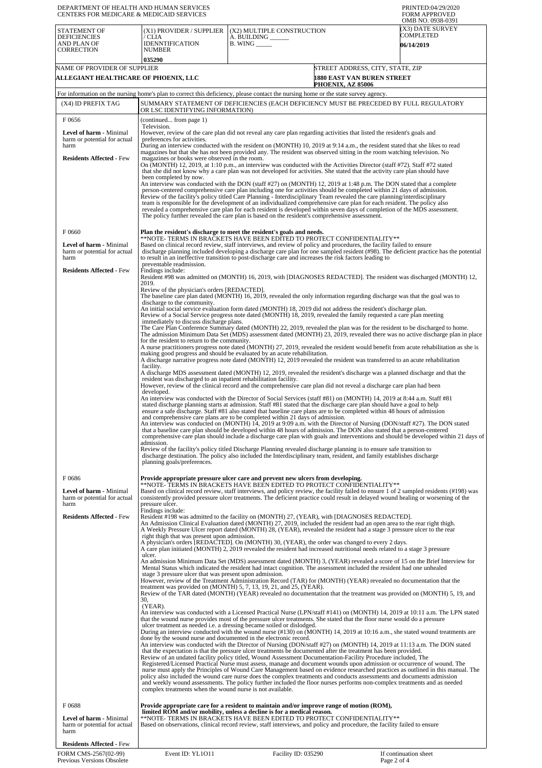| DEPARTMENT OF HEALTH AND HUMAN SERVICES<br>CENTERS FOR MEDICARE & MEDICAID SERVICES                                |                                                                                                                                                                                                                                                                                                                                                                                                                                                                                                                                                                                                                                                                                                                                                                                                                                                                                                                                                                                                                                                                                                                                                                                                                                                                                                                                                                                                                                                                                                            |                                                                                                                                                                                                                                                                                                                                                                                                                                                                                                                                                                                                                                                                                                                                                                                                                                             | PRINTED:04/29/2020<br><b>FORM APPROVED</b><br>OMB NO. 0938-0391                                                                                                                                                                                                                                                                                                                                                                                                                                                                                                                                                                                                                                                                                                                                                                                                                                             |  |
|--------------------------------------------------------------------------------------------------------------------|------------------------------------------------------------------------------------------------------------------------------------------------------------------------------------------------------------------------------------------------------------------------------------------------------------------------------------------------------------------------------------------------------------------------------------------------------------------------------------------------------------------------------------------------------------------------------------------------------------------------------------------------------------------------------------------------------------------------------------------------------------------------------------------------------------------------------------------------------------------------------------------------------------------------------------------------------------------------------------------------------------------------------------------------------------------------------------------------------------------------------------------------------------------------------------------------------------------------------------------------------------------------------------------------------------------------------------------------------------------------------------------------------------------------------------------------------------------------------------------------------------|---------------------------------------------------------------------------------------------------------------------------------------------------------------------------------------------------------------------------------------------------------------------------------------------------------------------------------------------------------------------------------------------------------------------------------------------------------------------------------------------------------------------------------------------------------------------------------------------------------------------------------------------------------------------------------------------------------------------------------------------------------------------------------------------------------------------------------------------|-------------------------------------------------------------------------------------------------------------------------------------------------------------------------------------------------------------------------------------------------------------------------------------------------------------------------------------------------------------------------------------------------------------------------------------------------------------------------------------------------------------------------------------------------------------------------------------------------------------------------------------------------------------------------------------------------------------------------------------------------------------------------------------------------------------------------------------------------------------------------------------------------------------|--|
| <b>STATEMENT OF</b><br><b>DEFICIENCIES</b><br>AND PLAN OF<br><b>CORRECTION</b>                                     | (X1) PROVIDER / SUPPLIER<br>/ CLIA<br><b>IDENNTIFICATION</b><br><b>NUMBER</b>                                                                                                                                                                                                                                                                                                                                                                                                                                                                                                                                                                                                                                                                                                                                                                                                                                                                                                                                                                                                                                                                                                                                                                                                                                                                                                                                                                                                                              | (X2) MULTIPLE CONSTRUCTION<br>A. BUILDING _<br>$B.$ WING $\_\_\_\_\_\_\_\$                                                                                                                                                                                                                                                                                                                                                                                                                                                                                                                                                                                                                                                                                                                                                                  | (X3) DATE SURVEY<br><b>COMPLETED</b><br><b>06/14/2019</b>                                                                                                                                                                                                                                                                                                                                                                                                                                                                                                                                                                                                                                                                                                                                                                                                                                                   |  |
| NAME OF PROVIDER OF SUPPLIER                                                                                       | 035290                                                                                                                                                                                                                                                                                                                                                                                                                                                                                                                                                                                                                                                                                                                                                                                                                                                                                                                                                                                                                                                                                                                                                                                                                                                                                                                                                                                                                                                                                                     |                                                                                                                                                                                                                                                                                                                                                                                                                                                                                                                                                                                                                                                                                                                                                                                                                                             | STREET ADDRESS, CITY, STATE, ZIP                                                                                                                                                                                                                                                                                                                                                                                                                                                                                                                                                                                                                                                                                                                                                                                                                                                                            |  |
| ALLEGIANT HEALTHCARE OF PHOENIX, LLC                                                                               |                                                                                                                                                                                                                                                                                                                                                                                                                                                                                                                                                                                                                                                                                                                                                                                                                                                                                                                                                                                                                                                                                                                                                                                                                                                                                                                                                                                                                                                                                                            |                                                                                                                                                                                                                                                                                                                                                                                                                                                                                                                                                                                                                                                                                                                                                                                                                                             | 1880 EAST VAN BUREN STREET<br><b>PHOENIX, AZ 85006</b>                                                                                                                                                                                                                                                                                                                                                                                                                                                                                                                                                                                                                                                                                                                                                                                                                                                      |  |
| (X4) ID PREFIX TAG                                                                                                 |                                                                                                                                                                                                                                                                                                                                                                                                                                                                                                                                                                                                                                                                                                                                                                                                                                                                                                                                                                                                                                                                                                                                                                                                                                                                                                                                                                                                                                                                                                            | For information on the nursing home's plan to correct this deficiency, please contact the nursing home or the state survey agency.                                                                                                                                                                                                                                                                                                                                                                                                                                                                                                                                                                                                                                                                                                          | SUMMARY STATEMENT OF DEFICIENCIES (EACH DEFICIENCY MUST BE PRECEDED BY FULL REGULATORY                                                                                                                                                                                                                                                                                                                                                                                                                                                                                                                                                                                                                                                                                                                                                                                                                      |  |
| F0656                                                                                                              | OR LSC IDENTIFYING INFORMATION)                                                                                                                                                                                                                                                                                                                                                                                                                                                                                                                                                                                                                                                                                                                                                                                                                                                                                                                                                                                                                                                                                                                                                                                                                                                                                                                                                                                                                                                                            |                                                                                                                                                                                                                                                                                                                                                                                                                                                                                                                                                                                                                                                                                                                                                                                                                                             |                                                                                                                                                                                                                                                                                                                                                                                                                                                                                                                                                                                                                                                                                                                                                                                                                                                                                                             |  |
| Level of harm - Minimal<br>harm or potential for actual<br>harm<br><b>Residents Affected - Few</b>                 | (continued from page 1)<br>Television.<br>However, review of the care plan did not reveal any care plan regarding activities that listed the resident's goals and<br>preferences for activities.<br>During an interview conducted with the resident on (MONTH) 10, 2019 at 9:14 a.m., the resident stated that she likes to read<br>magazines but that she has not been provided any. The resident was observed sitting in the room watching television. No<br>magazines or books were observed in the room.<br>On (MONTH) 12, 2019, at 1:10 p.m., an interview was conducted with the Activities Director (staff #72). Staff #72 stated<br>that she did not know why a care plan was not developed for activities. She stated that the activity care plan should have                                                                                                                                                                                                                                                                                                                                                                                                                                                                                                                                                                                                                                                                                                                                     |                                                                                                                                                                                                                                                                                                                                                                                                                                                                                                                                                                                                                                                                                                                                                                                                                                             |                                                                                                                                                                                                                                                                                                                                                                                                                                                                                                                                                                                                                                                                                                                                                                                                                                                                                                             |  |
|                                                                                                                    | been completed by now.                                                                                                                                                                                                                                                                                                                                                                                                                                                                                                                                                                                                                                                                                                                                                                                                                                                                                                                                                                                                                                                                                                                                                                                                                                                                                                                                                                                                                                                                                     | person-centered comprehensive care plan including one for activities should be completed within 21 days of admission.<br>Review of the facility's policy titled Care Planning - Interdisciplinary Team revealed the care planning/interdisciplinary<br>team is responsible for the development of an individualized comprehensive care plan for each resident. The policy also<br>The policy further revealed the care plan is based on the resident's comprehensive assessment.                                                                                                                                                                                                                                                                                                                                                            | An interview was conducted with the DON (staff #27) on (MONTH) 12, 2019 at 1:48 p.m. The DON stated that a complete<br>revealed a comprehensive care plan for each resident is developed within seven days of completion of the MDS assessment.                                                                                                                                                                                                                                                                                                                                                                                                                                                                                                                                                                                                                                                             |  |
| F0660<br><b>Level of harm - Minimal</b><br>harm or potential for actual<br>harm<br><b>Residents Affected - Few</b> | Plan the resident's discharge to meet the resident's goals and needs.<br>**NOTE- TERMS IN BRAČKETS HAVE BEEN EDITED TO PROTECT CONFIDENTIALITY**<br>Based on clinical record review, staff interviews, and review of policy and procedures, the facility failed to ensure<br>discharge planning included developing a discharge care plan for one sampled resident (#98). The deficient practice has the potential<br>to result in an ineffective transition to post-discharge care and increases the risk factors leading to<br>preventable readmission.<br>Findings include:<br>Resident #98 was admitted on (MONTH) 16, 2019, with [DIAGNOSES REDACTED]. The resident was discharged (MONTH) 12,                                                                                                                                                                                                                                                                                                                                                                                                                                                                                                                                                                                                                                                                                                                                                                                                        |                                                                                                                                                                                                                                                                                                                                                                                                                                                                                                                                                                                                                                                                                                                                                                                                                                             |                                                                                                                                                                                                                                                                                                                                                                                                                                                                                                                                                                                                                                                                                                                                                                                                                                                                                                             |  |
|                                                                                                                    | 2019.<br>Review of the physician's orders [REDACTED].<br>The baseline care plan dated (MONTH) 16, 2019, revealed the only information regarding discharge was that the goal was to<br>discharge to the community.<br>An initial social service evaluation form dated (MONTH) 18, 2019 did not address the resident's discharge plan.<br>Review of a Social Service progress note dated (MONTH) 18, 2019, revealed the family requested a care plan meeting<br>immediately to discuss discharge plans.<br>The Care Plan Conference Summary dated (MONTH) 22, 2019, revealed the plan was for the resident to be discharged to home.<br>The admission Minimum Data Set (MDS) assessment dated (MONTH) 23, 2019, revealed there was no active discharge plan in place<br>for the resident to return to the community.<br>A nurse practitioners progress note dated (MONTH) 27, 2019, revealed the resident would benefit from acute rehabilitation as she is<br>making good progress and should be evaluated by an acute rehabilitation.<br>A discharge narrative progress note dated (MONTH) 12, 2019 revealed the resident was transferred to an acute rehabilitation<br>facility.<br>A discharge MDS assessment dated (MONTH) 12, 2019, revealed the resident's discharge was a planned discharge and that the<br>resident was discharged to an inpatient rehabilitation facility.<br>However, review of the clinical record and the comprehensive care plan did not reveal a discharge care plan had been |                                                                                                                                                                                                                                                                                                                                                                                                                                                                                                                                                                                                                                                                                                                                                                                                                                             |                                                                                                                                                                                                                                                                                                                                                                                                                                                                                                                                                                                                                                                                                                                                                                                                                                                                                                             |  |
|                                                                                                                    | developed.<br>admission.<br>planning goals/preferences.                                                                                                                                                                                                                                                                                                                                                                                                                                                                                                                                                                                                                                                                                                                                                                                                                                                                                                                                                                                                                                                                                                                                                                                                                                                                                                                                                                                                                                                    | An interview was conducted with the Director of Social Services (staff #81) on (MONTH) 14, 2019 at 8:44 a.m. Staff #81<br>stated discharge planning starts at admission. Staff #81 stated that the discharge care plan should have a goal to help<br>ensure a safe discharge. Staff #81 also stated that baseline care plans are to be completed within 48 hours of admission<br>and comprehensive care plans are to be completed within 21 days of admission.<br>that a baseline care plan should be developed within 48 hours of admission. The DON also stated that a person-centered<br>Review of the facility's policy titled Discharge Planning revealed discharge planning is to ensure safe transition to<br>discharge destination. The policy also included the Interdisciplinary team, resident, and family establishes discharge | An interview was conducted on (MONTH) 14, 2019 at 9:09 a.m. with the Director of Nursing (DON/staff #27). The DON stated<br>comprehensive care plan should include a discharge care plan with goals and interventions and should be developed within 21 days of                                                                                                                                                                                                                                                                                                                                                                                                                                                                                                                                                                                                                                             |  |
| F0686<br>Level of harm - Minimal<br>harm or potential for actual<br>harm                                           | pressure ulcer.                                                                                                                                                                                                                                                                                                                                                                                                                                                                                                                                                                                                                                                                                                                                                                                                                                                                                                                                                                                                                                                                                                                                                                                                                                                                                                                                                                                                                                                                                            | Provide appropriate pressure ulcer care and prevent new ulcers from developing.<br>**NOTE- TERMS IN BRACKETS HAVE BEEN EDITED TO PROTECT CONFIDENTIALITY**                                                                                                                                                                                                                                                                                                                                                                                                                                                                                                                                                                                                                                                                                  | Based on clinical record review, staff interviews, and policy review, the facility failed to ensure 1 of 2 sampled residents (#198) was<br>consistently provided pressure ulcer treatments. The deficient practice could result in delayed wound healing or worsening of the                                                                                                                                                                                                                                                                                                                                                                                                                                                                                                                                                                                                                                |  |
| <b>Residents Affected - Few</b>                                                                                    | Findings include:<br>Resident #198 was admitted to the facility on (MONTH) 27, (YEAR), with [DIAGNOSES REDACTED].<br>An Admission Clinical Evaluation dated (MONTH) 27, 2019, included the resident had an open area to the rear right thigh.<br>A Weekly Pressure Ulcer report dated (MONTH) 28, (YEAR), revealed the resident had a stage 3 pressure ulcer to the rear<br>right thigh that was present upon admission.<br>A physician's orders [REDACTED]. On (MONTH) 30, (YEAR), the order was changed to every 2 days.<br>A care plan initiated (MONTH) 2, 2019 revealed the resident had increased nutritional needs related to a stage 3 pressure<br>ulcer.                                                                                                                                                                                                                                                                                                                                                                                                                                                                                                                                                                                                                                                                                                                                                                                                                                          |                                                                                                                                                                                                                                                                                                                                                                                                                                                                                                                                                                                                                                                                                                                                                                                                                                             |                                                                                                                                                                                                                                                                                                                                                                                                                                                                                                                                                                                                                                                                                                                                                                                                                                                                                                             |  |
|                                                                                                                    | An admission Minimum Data Set (MDS) assessment dated (MONTH) 3, (YEAR) revealed a score of 15 on the Brief Interview for<br>Mental Status which indicated the resident had intact cognition. The assessment included the resident had one unhealed<br>stage 3 pressure ulcer that was present upon admission.<br>However, review of the Treatment Administration Record (TAR) for (MONTH) (YEAR) revealed no documentation that the<br>treatment was provided on (MONTH) 5, 7, 13, 19, 21, and 25, (YEAR).<br>Review of the TAR dated (MONTH) (YEAR) revealed no documentation that the treatment was provided on (MONTH) 5, 19, and<br>30.                                                                                                                                                                                                                                                                                                                                                                                                                                                                                                                                                                                                                                                                                                                                                                                                                                                                |                                                                                                                                                                                                                                                                                                                                                                                                                                                                                                                                                                                                                                                                                                                                                                                                                                             |                                                                                                                                                                                                                                                                                                                                                                                                                                                                                                                                                                                                                                                                                                                                                                                                                                                                                                             |  |
|                                                                                                                    | (YEAR).<br>done by the wound nurse and documented in the electronic record.<br>complex treatments when the wound nurse is not available.                                                                                                                                                                                                                                                                                                                                                                                                                                                                                                                                                                                                                                                                                                                                                                                                                                                                                                                                                                                                                                                                                                                                                                                                                                                                                                                                                                   | that the wound nurse provides most of the pressure ulcer treatments. She stated that the floor nurse would do a pressure<br>ulcer treatment as needed i.e. a dressing became soiled or dislodged.<br>that the expectation is that the pressure ulcer treatments be documented after the treatment has been provided.<br>Review of an undated facility policy titled, Wound Assessment Documentation-Facility Procedure included, The                                                                                                                                                                                                                                                                                                                                                                                                        | An interview was conducted with a Licensed Practical Nurse (LPN/staff #141) on (MONTH) 14, 2019 at 10:11 a.m. The LPN stated<br>During an interview conducted with the wound nurse (#130) on (MONTH) 14, 2019 at 10:16 a.m., she stated wound treatments are<br>An interview was conducted with the Director of Nursing (DON/staff #27) on (MONTH) 14, 2019 at 11:13 a.m. The DON stated<br>Registered/Licensed Practical Nurse must assess, manage and document wounds upon admission or occurrence of wound. The<br>nurse must apply the Principles of Wound Care Management based on evidence researched practices as outlined in this manual. The<br>policy also included the wound care nurse does the complex treatments and conducts assessments and documents admission<br>and weekly wound assessments. The policy further included the floor nurses performs non-complex treatments and as needed |  |
| F0688<br>Level of harm - Minimal<br>harm or potential for actual<br>harm                                           |                                                                                                                                                                                                                                                                                                                                                                                                                                                                                                                                                                                                                                                                                                                                                                                                                                                                                                                                                                                                                                                                                                                                                                                                                                                                                                                                                                                                                                                                                                            | Provide appropriate care for a resident to maintain and/or improve range of motion (ROM),<br>limited ROM and/or mobility, unless a decline is for a medical reason.<br>**NOTE- TERMS IN BRACKETS HAVE BEEN EDITED TO PROTECT CONFIDENTIALITY**<br>Based on observations, clinical record review, staff interviews, and policy and procedure, the facility failed to ensure                                                                                                                                                                                                                                                                                                                                                                                                                                                                  |                                                                                                                                                                                                                                                                                                                                                                                                                                                                                                                                                                                                                                                                                                                                                                                                                                                                                                             |  |
| <b>Residents Affected - Few</b><br>FORM CMS-2567(02-99)<br>Previous Versions Obsolete                              | Event ID: YL1011                                                                                                                                                                                                                                                                                                                                                                                                                                                                                                                                                                                                                                                                                                                                                                                                                                                                                                                                                                                                                                                                                                                                                                                                                                                                                                                                                                                                                                                                                           | Facility ID: 035290                                                                                                                                                                                                                                                                                                                                                                                                                                                                                                                                                                                                                                                                                                                                                                                                                         | If continuation sheet<br>Page 2 of 4                                                                                                                                                                                                                                                                                                                                                                                                                                                                                                                                                                                                                                                                                                                                                                                                                                                                        |  |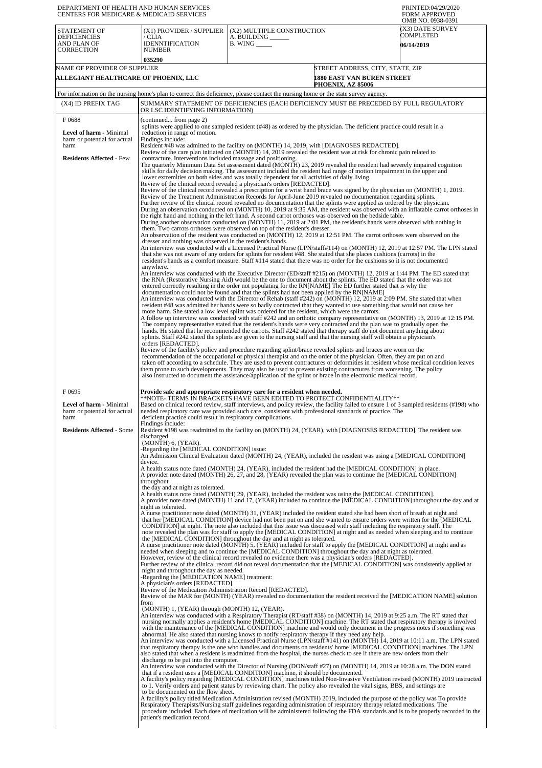| DEPARTMENT OF HEALTH AND HUMAN SERVICES<br>CENTERS FOR MEDICARE & MEDICAID SERVICES |                                                                                                                                                                                                                                                                                                                    |                                                                                                                                                                                                                                                                                                                                                                                                                                                                                                                                                                                                                                                                                                                                                                                                                                                                                                                                                                                                                                                                                                                                                                                                                                                                                                                                                                                                                                                                                                                                                                                                                                                                                                                                                                                                                                                                                                                                                                                                                                                                                                                                                                                                                                                                                                                                                                                                                                                                                                                                                                                                                                                                                                                                                                                                                                                                                                                                                                                                                                                                                                                                                                                                                                                                                                                                                                                                                                                                                                                                                                                                                          | PRINTED:04/29/2020<br><b>FORM APPROVED</b><br>OMB NO. 0938-0391                                                                                                                                                                                                                                                                                                                                                                                                                                                                                                                                                                       |
|-------------------------------------------------------------------------------------|--------------------------------------------------------------------------------------------------------------------------------------------------------------------------------------------------------------------------------------------------------------------------------------------------------------------|--------------------------------------------------------------------------------------------------------------------------------------------------------------------------------------------------------------------------------------------------------------------------------------------------------------------------------------------------------------------------------------------------------------------------------------------------------------------------------------------------------------------------------------------------------------------------------------------------------------------------------------------------------------------------------------------------------------------------------------------------------------------------------------------------------------------------------------------------------------------------------------------------------------------------------------------------------------------------------------------------------------------------------------------------------------------------------------------------------------------------------------------------------------------------------------------------------------------------------------------------------------------------------------------------------------------------------------------------------------------------------------------------------------------------------------------------------------------------------------------------------------------------------------------------------------------------------------------------------------------------------------------------------------------------------------------------------------------------------------------------------------------------------------------------------------------------------------------------------------------------------------------------------------------------------------------------------------------------------------------------------------------------------------------------------------------------------------------------------------------------------------------------------------------------------------------------------------------------------------------------------------------------------------------------------------------------------------------------------------------------------------------------------------------------------------------------------------------------------------------------------------------------------------------------------------------------------------------------------------------------------------------------------------------------------------------------------------------------------------------------------------------------------------------------------------------------------------------------------------------------------------------------------------------------------------------------------------------------------------------------------------------------------------------------------------------------------------------------------------------------------------------------------------------------------------------------------------------------------------------------------------------------------------------------------------------------------------------------------------------------------------------------------------------------------------------------------------------------------------------------------------------------------------------------------------------------------------------------------------------------|---------------------------------------------------------------------------------------------------------------------------------------------------------------------------------------------------------------------------------------------------------------------------------------------------------------------------------------------------------------------------------------------------------------------------------------------------------------------------------------------------------------------------------------------------------------------------------------------------------------------------------------|
| <b>STATEMENT OF</b><br><b>DEFICIENCIES</b><br>AND PLAN OF<br><b>CORRECTION</b>      | (X1) PROVIDER / SUPPLIER<br>/ CLIA<br><b>IDENNTIFICATION</b><br>NUMBER<br>035290                                                                                                                                                                                                                                   | (X2) MULTIPLE CONSTRUCTION<br>A. BUILDING _<br>$B.$ WING $\_\_\_\_\_\_\$                                                                                                                                                                                                                                                                                                                                                                                                                                                                                                                                                                                                                                                                                                                                                                                                                                                                                                                                                                                                                                                                                                                                                                                                                                                                                                                                                                                                                                                                                                                                                                                                                                                                                                                                                                                                                                                                                                                                                                                                                                                                                                                                                                                                                                                                                                                                                                                                                                                                                                                                                                                                                                                                                                                                                                                                                                                                                                                                                                                                                                                                                                                                                                                                                                                                                                                                                                                                                                                                                                                                                 | X3) DATE SURVEY<br>COMPLETED<br><b>06/14/2019</b>                                                                                                                                                                                                                                                                                                                                                                                                                                                                                                                                                                                     |
| NAME OF PROVIDER OF SUPPLIER                                                        |                                                                                                                                                                                                                                                                                                                    |                                                                                                                                                                                                                                                                                                                                                                                                                                                                                                                                                                                                                                                                                                                                                                                                                                                                                                                                                                                                                                                                                                                                                                                                                                                                                                                                                                                                                                                                                                                                                                                                                                                                                                                                                                                                                                                                                                                                                                                                                                                                                                                                                                                                                                                                                                                                                                                                                                                                                                                                                                                                                                                                                                                                                                                                                                                                                                                                                                                                                                                                                                                                                                                                                                                                                                                                                                                                                                                                                                                                                                                                                          | STREET ADDRESS, CITY, STATE, ZIP                                                                                                                                                                                                                                                                                                                                                                                                                                                                                                                                                                                                      |
| ALLEGIANT HEALTHCARE OF PHOENIX, LLC                                                |                                                                                                                                                                                                                                                                                                                    | PHOENIX, AZ 85006                                                                                                                                                                                                                                                                                                                                                                                                                                                                                                                                                                                                                                                                                                                                                                                                                                                                                                                                                                                                                                                                                                                                                                                                                                                                                                                                                                                                                                                                                                                                                                                                                                                                                                                                                                                                                                                                                                                                                                                                                                                                                                                                                                                                                                                                                                                                                                                                                                                                                                                                                                                                                                                                                                                                                                                                                                                                                                                                                                                                                                                                                                                                                                                                                                                                                                                                                                                                                                                                                                                                                                                                        | 1880 EAST VAN BUREN STREET                                                                                                                                                                                                                                                                                                                                                                                                                                                                                                                                                                                                            |
| (X4) ID PREFIX TAG                                                                  |                                                                                                                                                                                                                                                                                                                    | For information on the nursing home's plan to correct this deficiency, please contact the nursing home or the state survey agency.<br>SUMMARY STATEMENT OF DEFICIENCIES (EACH DEFICIENCY MUST BE PRECEDED BY FULL REGULATORY                                                                                                                                                                                                                                                                                                                                                                                                                                                                                                                                                                                                                                                                                                                                                                                                                                                                                                                                                                                                                                                                                                                                                                                                                                                                                                                                                                                                                                                                                                                                                                                                                                                                                                                                                                                                                                                                                                                                                                                                                                                                                                                                                                                                                                                                                                                                                                                                                                                                                                                                                                                                                                                                                                                                                                                                                                                                                                                                                                                                                                                                                                                                                                                                                                                                                                                                                                                             |                                                                                                                                                                                                                                                                                                                                                                                                                                                                                                                                                                                                                                       |
| F0688                                                                               | OR LSC IDENTIFYING INFORMATION)<br>(continued from page 2)                                                                                                                                                                                                                                                         |                                                                                                                                                                                                                                                                                                                                                                                                                                                                                                                                                                                                                                                                                                                                                                                                                                                                                                                                                                                                                                                                                                                                                                                                                                                                                                                                                                                                                                                                                                                                                                                                                                                                                                                                                                                                                                                                                                                                                                                                                                                                                                                                                                                                                                                                                                                                                                                                                                                                                                                                                                                                                                                                                                                                                                                                                                                                                                                                                                                                                                                                                                                                                                                                                                                                                                                                                                                                                                                                                                                                                                                                                          |                                                                                                                                                                                                                                                                                                                                                                                                                                                                                                                                                                                                                                       |
| Level of harm - Minimal<br>harm or potential for actual<br>harm                     | reduction in range of motion.<br>Findings include:                                                                                                                                                                                                                                                                 | splints were applied to one sampled resident (#48) as ordered by the physician. The deficient practice could result in a<br>Resident #48 was admitted to the facility on (MONTH) 14, 2019, with [DIAGNOSES REDACTED].                                                                                                                                                                                                                                                                                                                                                                                                                                                                                                                                                                                                                                                                                                                                                                                                                                                                                                                                                                                                                                                                                                                                                                                                                                                                                                                                                                                                                                                                                                                                                                                                                                                                                                                                                                                                                                                                                                                                                                                                                                                                                                                                                                                                                                                                                                                                                                                                                                                                                                                                                                                                                                                                                                                                                                                                                                                                                                                                                                                                                                                                                                                                                                                                                                                                                                                                                                                                    |                                                                                                                                                                                                                                                                                                                                                                                                                                                                                                                                                                                                                                       |
| <b>Residents Affected - Few</b>                                                     | contracture. Interventions included massage and positioning.<br>dresser and nothing was observed in the resident's hands.<br>anywhere.<br>orders [REDACTED].                                                                                                                                                       | Review of the care plan initiated on (MONTH) 14, 2019 revealed the resident was at risk for chronic pain related to<br>The quarterly Minimum Data Set assessment dated (MONTH) 23, 2019 revealed the resident had severely impaired cognition<br>skills for daily decision making. The assessment included the resident had range of motion impairment in the upper and<br>lower extremities on both sides and was totally dependent for all activities of daily living.<br>Review of the clinical record revealed a physician's orders [REDACTED].<br>Review of the clinical record revealed a prescription for a wrist hand brace was signed by the physician on (MONTH) 1, 2019.<br>Review of the Treatment Administration Records for April-June 2019 revealed no documentation regarding splints.<br>Further review of the clinical record revealed no documentation that the splints were applied as ordered by the physician.<br>the right hand and nothing in the left hand. A second carrot orthoses was observed on the bedside table.<br>During another observation conducted on (MONTH) 11, 2019 at 2:01 PM, the resident's hands were observed with nothing in<br>them. Two carrots orthoses were observed on top of the resident's dresser.<br>An observation of the resident was conducted on (MONTH) 12, 2019 at 12:51 PM. The carrot orthoses were observed on the<br>that she was not aware of any orders for splints for resident #48. She stated that she places cushions (carrots) in the<br>resident's hands as a comfort measure. Staff #114 stated that there was no order for the cushions so it is not documented<br>An interview was conducted with the Executive Director (ED/staff #215) on (MONTH) 12, 2019 at 1:44 PM. The ED stated that<br>the RNA (Restorative Nursing Aid) would be the one to document about the splints. The ED stated that the order was not<br>entered correctly resulting in the order not populating for the RN[NAME] The ED further stated that is why the<br>documentation could not be found and that the splints had not been applied by the RN[NAME]<br>An interview was conducted with the Director of Rehab (staff #242) on (MONTH) 12, 2019 at 2:09 PM. She stated that when<br>resident #48 was admitted her hands were so badly contracted that they wanted to use something that would not cause her<br>more harm. She stated a low level splint was ordered for the resident, which were the carrots.<br>A follow up interview was conducted with staff #242 and an orthotic company representative on (MONTH) 13, 2019 at 12:15 PM.<br>The company representative stated that the resident's hands were very contracted and the plan was to gradually open the<br>hands. He stated that he recommended the carrots. Staff #242 stated that therapy staff do not document anything about<br>splints. Staff #242 stated the splints are given to the nursing staff and that the nursing staff will obtain a physician's<br>Review of the facility's policy and procedure regarding splint/brace revealed splints and braces are worn on the<br>recommendation of the occupational or physical therapist and on the order of the physician. Often, they are put on and<br>taken off according to a schedule. They are used to prevent contractures or deformities in resident whose medical condition leaves<br>them prone to such developments. They may also be used to prevent existing contractures from worsening. The policy<br>also instructed to document the assistance/application of the splint or brace in the electronic medical record. | During an observation conducted on (MONTH) 10, 2019 at 9:35 AM, the resident was observed with an inflatable carrot orthoses in<br>An interview was conducted with a Licensed Practical Nurse (LPN/staff#114) on (MONTH) 12, 2019 at 12:57 PM. The LPN stated                                                                                                                                                                                                                                                                                                                                                                         |
| F0695<br><b>Level of harm - Minimal</b><br>harm or potential for actual             |                                                                                                                                                                                                                                                                                                                    | Provide safe and appropriate respiratory care for a resident when needed.<br>**NOTE- TERMS IN BRACKETS HAVE BEEN EDITED TO PROTECT CONFIDENTIALITY**<br>needed respiratory care was provided such care, consistent with professional standards of practice. The                                                                                                                                                                                                                                                                                                                                                                                                                                                                                                                                                                                                                                                                                                                                                                                                                                                                                                                                                                                                                                                                                                                                                                                                                                                                                                                                                                                                                                                                                                                                                                                                                                                                                                                                                                                                                                                                                                                                                                                                                                                                                                                                                                                                                                                                                                                                                                                                                                                                                                                                                                                                                                                                                                                                                                                                                                                                                                                                                                                                                                                                                                                                                                                                                                                                                                                                                          | Based on clinical record review, staff interviews, and policy review, the facility failed to ensure 1 of 3 sampled residents (#198) who                                                                                                                                                                                                                                                                                                                                                                                                                                                                                               |
| harm<br><b>Residents Affected - Some</b>                                            | deficient practice could result in respiratory complications.<br>Findings include:<br>discharged<br>(MONTH) 6, (YEAR).                                                                                                                                                                                             | Resident #198 was readmitted to the facility on (MONTH) 24, (YEAR), with [DIAGNOSES REDACTED]. The resident was                                                                                                                                                                                                                                                                                                                                                                                                                                                                                                                                                                                                                                                                                                                                                                                                                                                                                                                                                                                                                                                                                                                                                                                                                                                                                                                                                                                                                                                                                                                                                                                                                                                                                                                                                                                                                                                                                                                                                                                                                                                                                                                                                                                                                                                                                                                                                                                                                                                                                                                                                                                                                                                                                                                                                                                                                                                                                                                                                                                                                                                                                                                                                                                                                                                                                                                                                                                                                                                                                                          |                                                                                                                                                                                                                                                                                                                                                                                                                                                                                                                                                                                                                                       |
|                                                                                     | -Regarding the [MEDICAL CONDITION] issue:<br>device.                                                                                                                                                                                                                                                               | An Admission Clinical Evaluation dated (MONTH) 24, (YEAR), included the resident was using a [MEDICAL CONDITION]                                                                                                                                                                                                                                                                                                                                                                                                                                                                                                                                                                                                                                                                                                                                                                                                                                                                                                                                                                                                                                                                                                                                                                                                                                                                                                                                                                                                                                                                                                                                                                                                                                                                                                                                                                                                                                                                                                                                                                                                                                                                                                                                                                                                                                                                                                                                                                                                                                                                                                                                                                                                                                                                                                                                                                                                                                                                                                                                                                                                                                                                                                                                                                                                                                                                                                                                                                                                                                                                                                         |                                                                                                                                                                                                                                                                                                                                                                                                                                                                                                                                                                                                                                       |
|                                                                                     | throughout<br>the day and at night as tolerated.                                                                                                                                                                                                                                                                   | A health status note dated (MONTH) 24, (YEAR), included the resident had the [MEDICAL CONDITION] in place.<br>A provider note dated (MONTH) 26, 27, and 28, (YEAR) revealed the plan was to continue the [MEDICAL CONDITION]<br>A health status note dated (MONTH) 29, (YEAR), included the resident was using the [MEDICAL CONDITION].                                                                                                                                                                                                                                                                                                                                                                                                                                                                                                                                                                                                                                                                                                                                                                                                                                                                                                                                                                                                                                                                                                                                                                                                                                                                                                                                                                                                                                                                                                                                                                                                                                                                                                                                                                                                                                                                                                                                                                                                                                                                                                                                                                                                                                                                                                                                                                                                                                                                                                                                                                                                                                                                                                                                                                                                                                                                                                                                                                                                                                                                                                                                                                                                                                                                                  |                                                                                                                                                                                                                                                                                                                                                                                                                                                                                                                                                                                                                                       |
|                                                                                     | night as tolerated.<br>night and throughout the day as needed.<br>-Regarding the [MEDICATION NAME] treatment:<br>A physician's orders [REDACTED].<br>Review of the Medication Administration Record [REDACTED].<br>from<br>(MONTH) 1, (YEAR) through (MONTH) 12, (YEAR).<br>discharge to be put into the computer. | A nurse practitioner note dated (MONTH) 31, (YEAR) included the resident stated she had been short of breath at night and<br>that her [MEDICAL CONDITION] device had not been put on and she wanted to ensure orders were written for the [MEDICAL<br>CONDITION] at night. The note also included that this issue was discussed with staff including the respiratory staff. The<br>note revealed the plan was for staff to apply the [MEDICAL CONDITION] at night and as needed when sleeping and to continue<br>the [MEDICAL CONDITION] throughout the day and at night as tolerated.<br>A nurse practitioner note dated (MONTH) 5, (YEAR) included for staff to apply the [MEDICAL CONDITION] at night and as<br>needed when sleeping and to continue the [MEDICAL CONDITION] throughout the day and at night as tolerated.<br>However, review of the clinical record revealed no evidence there was a physician's orders [REDACTED].<br>Further review of the clinical record did not reveal documentation that the [MEDICAL CONDITION] was consistently applied at<br>An interview was conducted with a Respiratory Therapist (RT/staff #38) on (MONTH) 14, 2019 at 9:25 a.m. The RT stated that<br>abnormal. He also stated that nursing knows to notify respiratory therapy if they need any help.<br>that respiratory therapy is the one who handles and documents on residents' home [MEDICAL CONDITION] machines. The LPN<br>also stated that when a resident is readmitted from the hospital, the nurses check to see if there are new orders from their<br>An interview was conducted with the Director of Nursing (DON/staff #27) on (MONTH) 14, 2019 at 10:28 a.m. The DON stated                                                                                                                                                                                                                                                                                                                                                                                                                                                                                                                                                                                                                                                                                                                                                                                                                                                                                                                                                                                                                                                                                                                                                                                                                                                                                                                                                                                                                                                                                                                                                                                                                                                                                                                                                                                                                                                                                                                           | A provider note dated (MONTH) 11 and 17, (YEAR) included to continue the [MEDICAL CONDITION] throughout the day and at<br>Review of the MAR for (MONTH) (YEAR) revealed no documentation the resident received the [MEDICATION NAME] solution<br>nursing normally applies a resident's home [MEDICAL CONDITION] machine. The RT stated that respiratory therapy is involved<br>with the maintenance of the [MEDICAL CONDITION] machine and would only document in the progress notes if something was<br>An interview was conducted with a Licensed Practical Nurse (LPN/staff #141) on (MONTH) 14, 2019 at 10:11 a.m. The LPN stated |
|                                                                                     | to be documented on the flow sheet.<br>patient's medication record.                                                                                                                                                                                                                                                | that if a resident uses a [MEDICAL CONDITION] machine, it should be documented.<br>to 1. Verify orders and patient status by reviewing chart. The policy also revealed the vital signs, BBS, and settings are<br>A facility's policy titled Medication Administration revised (MONTH) 2019, included the purpose of the policy was To provide<br>Respiratory Therapists/Nursing staff guidelines regarding administration of respiratory therapy related medications. The                                                                                                                                                                                                                                                                                                                                                                                                                                                                                                                                                                                                                                                                                                                                                                                                                                                                                                                                                                                                                                                                                                                                                                                                                                                                                                                                                                                                                                                                                                                                                                                                                                                                                                                                                                                                                                                                                                                                                                                                                                                                                                                                                                                                                                                                                                                                                                                                                                                                                                                                                                                                                                                                                                                                                                                                                                                                                                                                                                                                                                                                                                                                                | A facility's policy regarding [MEDICAL CONDITION] machines titled Non-Invasive Ventilation revised (MONTH) 2019 instructed<br>procedure included, Each dose of medication will be administered following the FDA standards and is to be properly recorded in the                                                                                                                                                                                                                                                                                                                                                                      |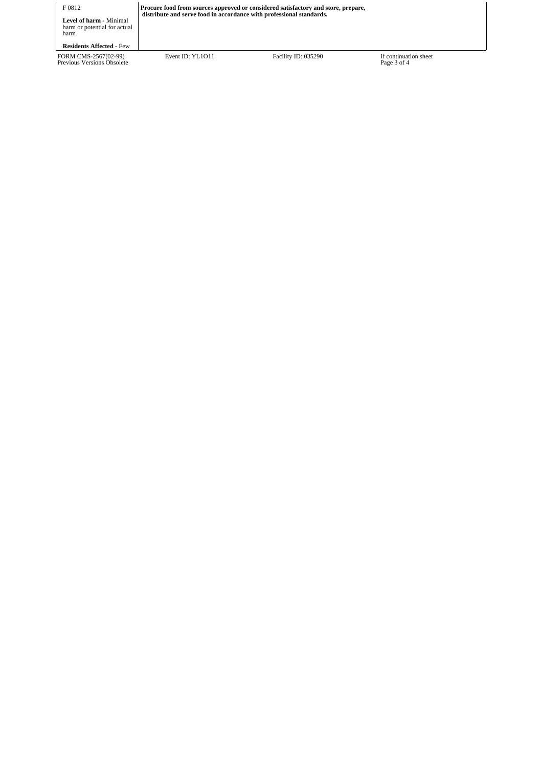| F 0812<br><b>Level of harm - Minimal</b><br>harm or potential for actual<br>harm | Procure food from sources approved or considered satisfactory and store, prepare,<br>distribute and serve food in accordance with professional standards. |                     |                                      |
|----------------------------------------------------------------------------------|-----------------------------------------------------------------------------------------------------------------------------------------------------------|---------------------|--------------------------------------|
| <b>Residents Affected - Few</b>                                                  |                                                                                                                                                           |                     |                                      |
| FORM CMS-2567(02-99)<br>Previous Versions Obsolete                               | Event ID: YL1011                                                                                                                                          | Facility ID: 035290 | If continuation sheet<br>Page 3 of 4 |